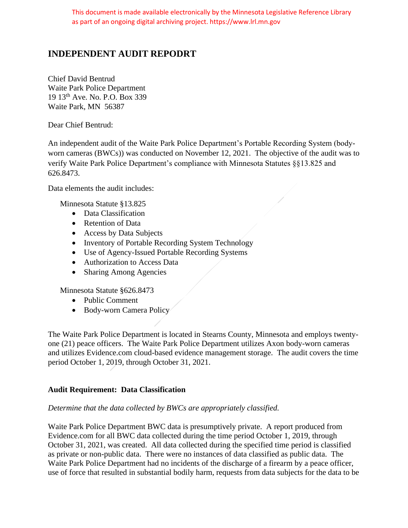# **INDEPENDENT AUDIT REPODRT**

Chief David Bentrud Waite Park Police Department 19 13th Ave. No. P.O. Box 339 Waite Park, MN 56387

Dear Chief Bentrud:

An independent audit of the Waite Park Police Department's Portable Recording System (bodyworn cameras (BWCs)) was conducted on November 12, 2021. The objective of the audit was to verify Waite Park Police Department's compliance with Minnesota Statutes §§13.825 and 626.8473.

Data elements the audit includes:

Minnesota Statute §13.825

- Data Classification
- Retention of Data
- Access by Data Subjects
- Inventory of Portable Recording System Technology
- Use of Agency-Issued Portable Recording Systems
- Authorization to Access Data
- Sharing Among Agencies

Minnesota Statute §626.8473

- Public Comment
- Body-worn Camera Policy

The Waite Park Police Department is located in Stearns County, Minnesota and employs twentyone (21) peace officers. The Waite Park Police Department utilizes Axon body-worn cameras and utilizes Evidence.com cloud-based evidence management storage. The audit covers the time period October 1, 2019, through October 31, 2021.

# **Audit Requirement: Data Classification**

# *Determine that the data collected by BWCs are appropriately classified.*

Waite Park Police Department BWC data is presumptively private. A report produced from Evidence.com for all BWC data collected during the time period October 1, 2019, through October 31, 2021, was created. All data collected during the specified time period is classified as private or non-public data. There were no instances of data classified as public data. The Waite Park Police Department had no incidents of the discharge of a firearm by a peace officer, use of force that resulted in substantial bodily harm, requests from data subjects for the data to be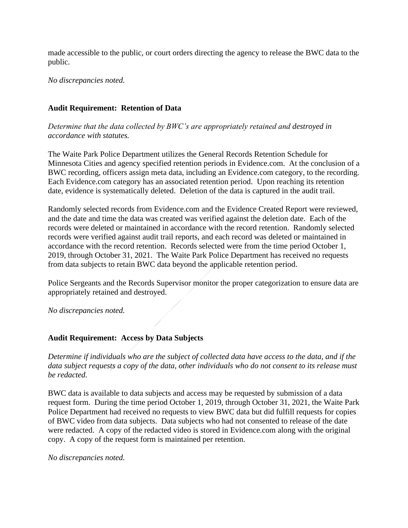made accessible to the public, or court orders directing the agency to release the BWC data to the public.

*No discrepancies noted.*

# **Audit Requirement: Retention of Data**

*Determine that the data collected by BWC's are appropriately retained and destroyed in accordance with statutes.*

The Waite Park Police Department utilizes the General Records Retention Schedule for Minnesota Cities and agency specified retention periods in Evidence.com. At the conclusion of a BWC recording, officers assign meta data, including an Evidence.com category, to the recording. Each Evidence.com category has an associated retention period. Upon reaching its retention date, evidence is systematically deleted. Deletion of the data is captured in the audit trail.

Randomly selected records from Evidence.com and the Evidence Created Report were reviewed, and the date and time the data was created was verified against the deletion date. Each of the records were deleted or maintained in accordance with the record retention. Randomly selected records were verified against audit trail reports, and each record was deleted or maintained in accordance with the record retention. Records selected were from the time period October 1, 2019, through October 31, 2021. The Waite Park Police Department has received no requests from data subjects to retain BWC data beyond the applicable retention period.

Police Sergeants and the Records Supervisor monitor the proper categorization to ensure data are appropriately retained and destroyed.

*No discrepancies noted.*

### **Audit Requirement: Access by Data Subjects**

*Determine if individuals who are the subject of collected data have access to the data, and if the data subject requests a copy of the data, other individuals who do not consent to its release must be redacted.*

BWC data is available to data subjects and access may be requested by submission of a data request form. During the time period October 1, 2019, through October 31, 2021, the Waite Park Police Department had received no requests to view BWC data but did fulfill requests for copies of BWC video from data subjects. Data subjects who had not consented to release of the date were redacted. A copy of the redacted video is stored in Evidence.com along with the original copy. A copy of the request form is maintained per retention.

*No discrepancies noted.*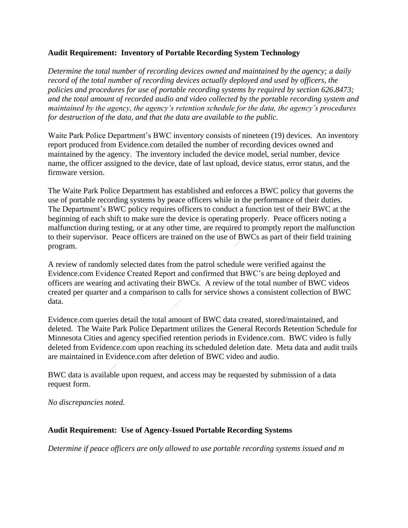# **Audit Requirement: Inventory of Portable Recording System Technology**

*Determine the total number of recording devices owned and maintained by the agency; a daily record of the total number of recording devices actually deployed and used by officers, the policies and procedures for use of portable recording systems by required by section 626.8473; and the total amount of recorded audio and video collected by the portable recording system and maintained by the agency, the agency's retention schedule for the data, the agency's procedures for destruction of the data, and that the data are available to the public.*

Waite Park Police Department's BWC inventory consists of nineteen (19) devices. An inventory report produced from Evidence.com detailed the number of recording devices owned and maintained by the agency. The inventory included the device model, serial number, device name, the officer assigned to the device, date of last upload, device status, error status, and the firmware version.

The Waite Park Police Department has established and enforces a BWC policy that governs the use of portable recording systems by peace officers while in the performance of their duties. The Department's BWC policy requires officers to conduct a function test of their BWC at the beginning of each shift to make sure the device is operating properly. Peace officers noting a malfunction during testing, or at any other time, are required to promptly report the malfunction to their supervisor. Peace officers are trained on the use of BWCs as part of their field training program.

A review of randomly selected dates from the patrol schedule were verified against the Evidence.com Evidence Created Report and confirmed that BWC's are being deployed and officers are wearing and activating their BWCs. A review of the total number of BWC videos created per quarter and a comparison to calls for service shows a consistent collection of BWC data.

Evidence.com queries detail the total amount of BWC data created, stored/maintained, and deleted. The Waite Park Police Department utilizes the General Records Retention Schedule for Minnesota Cities and agency specified retention periods in Evidence.com. BWC video is fully deleted from Evidence.com upon reaching its scheduled deletion date. Meta data and audit trails are maintained in Evidence.com after deletion of BWC video and audio.

BWC data is available upon request, and access may be requested by submission of a data request form.

*No discrepancies noted.*

### **Audit Requirement: Use of Agency-Issued Portable Recording Systems**

*Determine if peace officers are only allowed to use portable recording systems issued and m*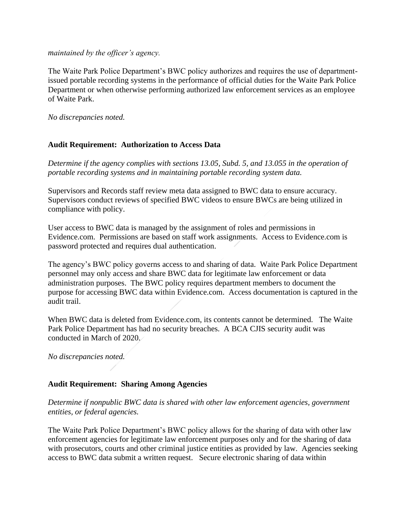#### *maintained by the officer's agency.*

The Waite Park Police Department's BWC policy authorizes and requires the use of departmentissued portable recording systems in the performance of official duties for the Waite Park Police Department or when otherwise performing authorized law enforcement services as an employee of Waite Park.

*No discrepancies noted.*

# **Audit Requirement: Authorization to Access Data**

*Determine if the agency complies with sections 13.05, Subd. 5, and 13.055 in the operation of portable recording systems and in maintaining portable recording system data.*

Supervisors and Records staff review meta data assigned to BWC data to ensure accuracy. Supervisors conduct reviews of specified BWC videos to ensure BWCs are being utilized in compliance with policy.

User access to BWC data is managed by the assignment of roles and permissions in Evidence.com. Permissions are based on staff work assignments. Access to Evidence.com is password protected and requires dual authentication.

The agency's BWC policy governs access to and sharing of data. Waite Park Police Department personnel may only access and share BWC data for legitimate law enforcement or data administration purposes. The BWC policy requires department members to document the purpose for accessing BWC data within Evidence.com. Access documentation is captured in the audit trail.

When BWC data is deleted from Evidence.com, its contents cannot be determined. The Waite Park Police Department has had no security breaches. A BCA CJIS security audit was conducted in March of 2020.

*No discrepancies noted.*

### **Audit Requirement: Sharing Among Agencies**

*Determine if nonpublic BWC data is shared with other law enforcement agencies, government entities, or federal agencies.*

The Waite Park Police Department's BWC policy allows for the sharing of data with other law enforcement agencies for legitimate law enforcement purposes only and for the sharing of data with prosecutors, courts and other criminal justice entities as provided by law. Agencies seeking access to BWC data submit a written request. Secure electronic sharing of data within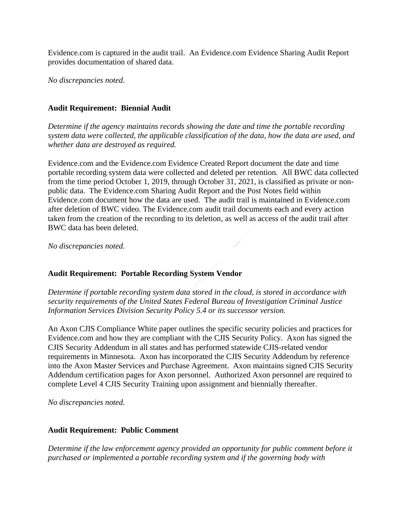Evidence.com is captured in the audit trail. An Evidence.com Evidence Sharing Audit Report provides documentation of shared data.

*No discrepancies noted.*

# **Audit Requirement: Biennial Audit**

*Determine if the agency maintains records showing the date and time the portable recording system data were collected, the applicable classification of the data, how the data are used, and whether data are destroyed as required.* 

Evidence.com and the Evidence.com Evidence Created Report document the date and time portable recording system data were collected and deleted per retention. All BWC data collected from the time period October 1, 2019, through October 31, 2021, is classified as private or nonpublic data. The Evidence.com Sharing Audit Report and the Post Notes field within Evidence.com document how the data are used. The audit trail is maintained in Evidence.com after deletion of BWC video. The Evidence.com audit trail documents each and every action taken from the creation of the recording to its deletion, as well as access of the audit trail after BWC data has been deleted.

*No discrepancies noted.*

# **Audit Requirement: Portable Recording System Vendor**

*Determine if portable recording system data stored in the cloud, is stored in accordance with security requirements of the United States Federal Bureau of Investigation Criminal Justice Information Services Division Security Policy 5.4 or its successor version.*

An Axon CJIS Compliance White paper outlines the specific security policies and practices for Evidence.com and how they are compliant with the CJIS Security Policy. Axon has signed the CJIS Security Addendum in all states and has performed statewide CJIS-related vendor requirements in Minnesota. Axon has incorporated the CJIS Security Addendum by reference into the Axon Master Services and Purchase Agreement. Axon maintains signed CJIS Security Addendum certification pages for Axon personnel. Authorized Axon personnel are required to complete Level 4 CJIS Security Training upon assignment and biennially thereafter.

*No discrepancies noted.*

# **Audit Requirement: Public Comment**

*Determine if the law enforcement agency provided an opportunity for public comment before it purchased or implemented a portable recording system and if the governing body with*